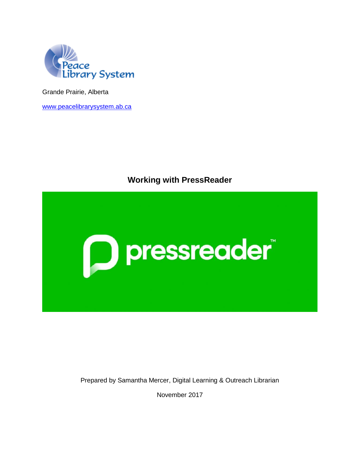

Grande Prairie, Alberta

[www.peacelibrarysystem.ab.ca](http://www.peacelibrarysystem.ab.ca/)

# **Working with PressReader**



Prepared by Samantha Mercer, Digital Learning & Outreach Librarian

November 2017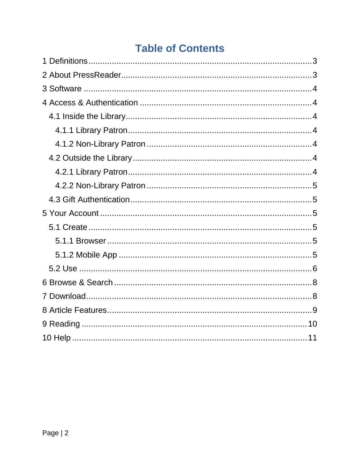# **Table of Contents**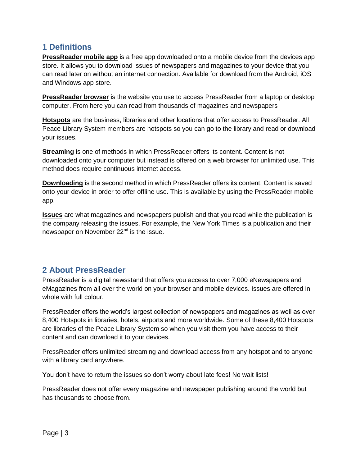### <span id="page-2-0"></span>**1 Definitions**

**PressReader mobile app** is a free app downloaded onto a mobile device from the devices app store. It allows you to download issues of newspapers and magazines to your device that you can read later on without an internet connection. Available for download from the Android, iOS and Windows app store.

**PressReader browser** is the website you use to access PressReader from a laptop or desktop computer. From here you can read from thousands of magazines and newspapers

**Hotspots** are the business, libraries and other locations that offer access to PressReader. All Peace Library System members are hotspots so you can go to the library and read or download your issues.

**Streaming** is one of methods in which PressReader offers its content. Content is not downloaded onto your computer but instead is offered on a web browser for unlimited use. This method does require continuous internet access.

**Downloading** is the second method in which PressReader offers its content. Content is saved onto your device in order to offer offline use. This is available by using the PressReader mobile app.

**Issues** are what magazines and newspapers publish and that you read while the publication is the company releasing the issues. For example, the New York Times is a publication and their newspaper on November 22<sup>nd</sup> is the issue.

# <span id="page-2-1"></span>**2 About PressReader**

PressReader is a digital newsstand that offers you access to over 7,000 eNewspapers and eMagazines from all over the world on your browser and mobile devices. Issues are offered in whole with full colour.

PressReader offers the world's largest collection of newspapers and magazines as well as over 8,400 Hotspots in libraries, hotels, airports and more worldwide. Some of these 8,400 Hotspots are libraries of the Peace Library System so when you visit them you have access to their content and can download it to your devices.

PressReader offers unlimited streaming and download access from any hotspot and to anyone with a library card anywhere.

You don't have to return the issues so don't worry about late fees! No wait lists!

PressReader does not offer every magazine and newspaper publishing around the world but has thousands to choose from.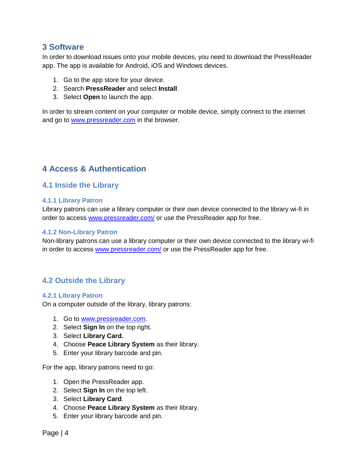### <span id="page-3-0"></span>**3 Software**

In order to download issues onto your mobile devices, you need to download the PressReader app. The app is available for Android, iOS and Windows devices.

- 1. Go to the app store for your device.
- 2. Search **PressReader** and select **Install**.
- 3. Select **Open** to launch the app.

<span id="page-3-1"></span>In order to stream content on your computer or mobile device, simply connect to the internet and go to [www.pressreader.com](http://www.pressreader.com/) in the browser.

# **4 Access & Authentication**

### <span id="page-3-2"></span>**4.1 Inside the Library**

#### <span id="page-3-3"></span>**4.1.1 Library Patron**

Library patrons can use a library computer or their own device connected to the library wi-fi in order to access [www.pressreader.com/](http://www.pressreader.com/) or use the PressReader app for free.

#### <span id="page-3-4"></span>**4.1.2 Non-Library Patron**

Non-library patrons can use a library computer or their own device connected to the library wi-fi in order to access [www.pressreader.com/](http://www.pressreader.com/) or use the PressReader app for free.

### <span id="page-3-5"></span>**4.2 Outside the Library**

#### <span id="page-3-6"></span>**4.2.1 Library Patron**

On a computer outside of the library, library patrons:

- 1. Go to [www.pressreader.com.](http://www.pressreader.com/)
- 2. Select **Sign In** on the top right.
- 3. Select **Library Card.**
- 4. Choose **Peace Library System** as their library.
- 5. Enter your library barcode and pin.

For the app, library patrons need to go:

- 1. Open the PressReader app.
- 2. Select **Sign In** on the top left.
- 3. Select **Library Card**.
- 4. Choose **Peace Library System** as their library.
- 5. Enter your library barcode and pin.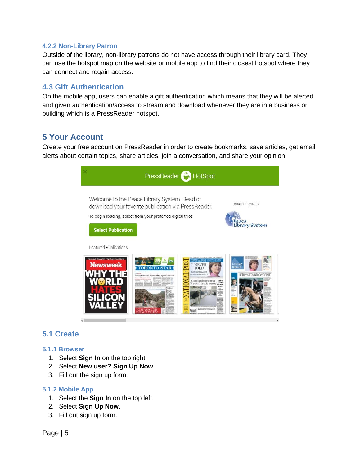#### <span id="page-4-0"></span>**4.2.2 Non-Library Patron**

Outside of the library, non-library patrons do not have access through their library card. They can use the hotspot map on the website or mobile app to find their closest hotspot where they can connect and regain access.

### <span id="page-4-1"></span>**4.3 Gift Authentication**

On the mobile app, users can enable a gift authentication which means that they will be alerted and given authentication/access to stream and download whenever they are in a business or building which is a PressReader hotspot.

### <span id="page-4-2"></span>**5 Your Account**

Create your free account on PressReader in order to create bookmarks, save articles, get email alerts about certain topics, share articles, join a conversation, and share your opinion.

| PressReader <sup>5</sup> HotSpot                                                                                                                                                                                                                                                                                                                                                                                                                                             |                                                                                          |
|------------------------------------------------------------------------------------------------------------------------------------------------------------------------------------------------------------------------------------------------------------------------------------------------------------------------------------------------------------------------------------------------------------------------------------------------------------------------------|------------------------------------------------------------------------------------------|
| Welcome to the Peace Library System. Read or<br>download your favorite publication via PressReader.<br>To begin reading, select from your preferred digital titles<br><b>Select Publication</b>                                                                                                                                                                                                                                                                              | Brought to you by<br>Peace<br><b>Library System</b>                                      |
| <b>Featured Publications</b><br><b>X REST-DESIGNED NEWSFAPEE</b><br>esident Pinocchio. The Bugs From Brazil<br><b>Newsweek</b><br><b>COLARADO</b><br>Inadequate care 'devastating' injured workers<br>Canadian imprisoned:<br>She won't be able to cope<br>TERECK<br><b>VICTIMS</b><br><b>MINIBARS</b><br><b>155 TV</b><br>Wakfalis<br><b>laratos</b><br>Nas Ape<br>rosteate<br><b>STREET REPORTED AT A 2005 FOR DWG</b><br><b>Contract the State And Contract of Figure</b> | LC PROBE STOLE<br>CALGARY<br><b>NOSE</b><br><b>FRALD</b><br>NOTLEY STEPS INTO PAY DISPLE |

### <span id="page-4-3"></span>**5.1 Create**

#### <span id="page-4-4"></span>**5.1.1 Browser**

- 1. Select **Sign In** on the top right.
- 2. Select **New user? Sign Up Now**.
- 3. Fill out the sign up form.

#### <span id="page-4-5"></span>**5.1.2 Mobile App**

- 1. Select the **Sign In** on the top left.
- 2. Select **Sign Up Now**.
- 3. Fill out sign up form.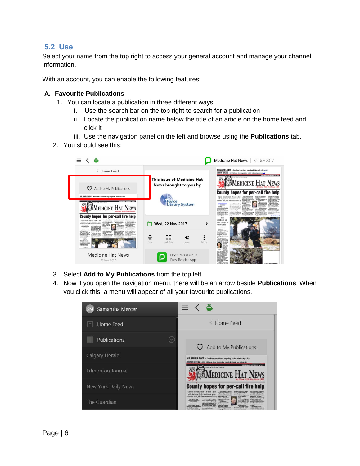### <span id="page-5-0"></span>**5.2 Use**

Select your name from the top right to access your general account and manage your channel information.

With an account, you can enable the following features:

#### **A. Favourite Publications**

- 1. You can locate a publication in three different ways
	- i. Use the search bar on the top right to search for a publication
	- ii. Locate the publication name below the title of an article on the home feed and click it
	- iii. Use the navigation panel on the left and browse using the **Publications** tab.
- 2. You should see this:



- 3. Select **Add to My Publications** from the top left.
- 4. Now if you open the navigation menu, there will be an arrow beside **Publications**. When you click this, a menu will appear of all your favourite publications.

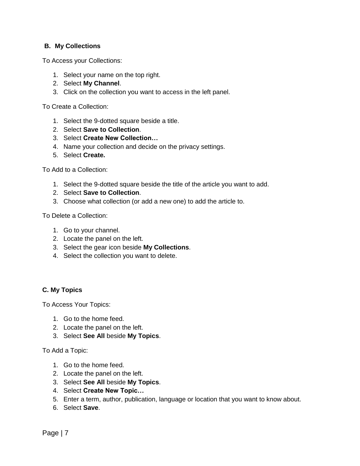#### **B. My Collections**

To Access your Collections:

- 1. Select your name on the top right.
- 2. Select **My Channel**.
- 3. Click on the collection you want to access in the left panel.

To Create a Collection:

- 1. Select the 9-dotted square beside a title.
- 2. Select **Save to Collection**.
- 3. Select **Create New Collection…**
- 4. Name your collection and decide on the privacy settings.
- 5. Select **Create.**

To Add to a Collection:

- 1. Select the 9-dotted square beside the title of the article you want to add.
- 2. Select **Save to Collection**.
- 3. Choose what collection (or add a new one) to add the article to.

To Delete a Collection:

- 1. Go to your channel.
- 2. Locate the panel on the left.
- 3. Select the gear icon beside **My Collections**.
- 4. Select the collection you want to delete.

#### **C. My Topics**

To Access Your Topics:

- 1. Go to the home feed.
- 2. Locate the panel on the left.
- 3. Select **See All** beside **My Topics**.

To Add a Topic:

- 1. Go to the home feed.
- 2. Locate the panel on the left.
- 3. Select **See All** beside **My Topics**.
- 4. Select **Create New Topic…**
- 5. Enter a term, author, publication, language or location that you want to know about.
- 6. Select **Save**.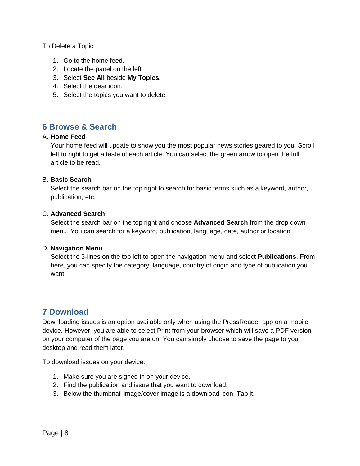To Delete a Topic:

- 1. Go to the home feed.
- 2. Locate the panel on the left.
- 3. Select **See All** beside **My Topics.**
- 4. Select the gear icon.
- 5. Select the topics you want to delete.

# <span id="page-7-0"></span>**6 Browse & Search**

#### A. **Home Feed**

Your home feed will update to show you the most popular news stories geared to you. Scroll left to right to get a taste of each article. You can select the green arrow to open the full article to be read.

#### B. **Basic Search**

Select the search bar on the top right to search for basic terms such as a keyword, author, publication, etc.

#### C. **Advanced Search**

Select the search bar on the top right and choose **Advanced Search** from the drop down menu. You can search for a keyword, publication, language, date, author or location.

#### D. **Navigation Menu**

Select the 3-lines on the top left to open the navigation menu and select **Publications**. From here, you can specify the category, language, country of origin and type of publication you want.

# <span id="page-7-1"></span>**7 Download**

Downloading issues is an option available only when using the PressReader app on a mobile device. However, you are able to select Print from your browser which will save a PDF version on your computer of the page you are on. You can simply choose to save the page to your desktop and read them later.

To download issues on your device:

- 1. Make sure you are signed in on your device.
- 2. Find the publication and issue that you want to download.
- 3. Below the thumbnail image/cover image is a download icon. Tap it.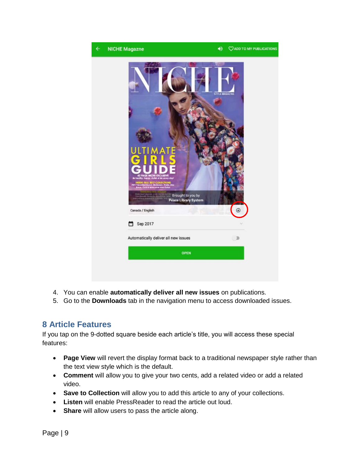

- 4. You can enable **automatically deliver all new issues** on publications.
- 5. Go to the **Downloads** tab in the navigation menu to access downloaded issues.

# <span id="page-8-0"></span>**8 Article Features**

If you tap on the 9-dotted square beside each article's title, you will access these special features:

- **Page View** will revert the display format back to a traditional newspaper style rather than the text view style which is the default.
- **Comment** will allow you to give your two cents, add a related video or add a related video.
- **Save to Collection** will allow you to add this article to any of your collections.
- **Listen** will enable PressReader to read the article out loud.
- **Share** will allow users to pass the article along.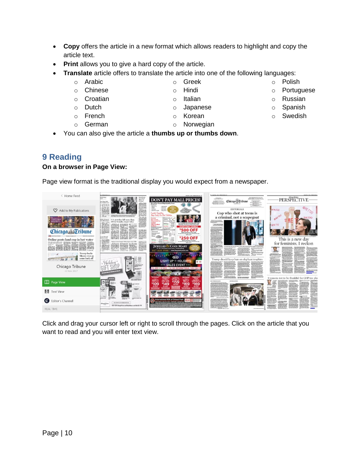want to read and you will enter text view.

- **Copy** offers the article in a new format which allows readers to highlight and copy the article text.
- **Print** allows you to give a hard copy of the article.
- **Translate** article offers to translate the article into one of the following languages:
	- o Arabic
	- o Chinese
	- o Croatian
	- o Dutch
	- o French
	- o German
- o Korean
- o Norwegian
- You can also give the article a **thumbs up or thumbs down**.

# <span id="page-9-0"></span>**9 Reading**

< Home Feed

### **On a browser in Page View:**

Page view format is the traditional display you would expect from a newspaper.

Click and drag your cursor left or right to scroll through the pages. Click on the article that you



**DON'T PAY MALL PRICES!** 

- o Portuguese
- o Russian
- o Spanish
- o Swedish

**PERSPECTIVE** 

Chicago **T**ribune

- 
- o Italian

o Greek o Hindi

- 
- o Japanese
- 
- - -
		-
		-

o Polish